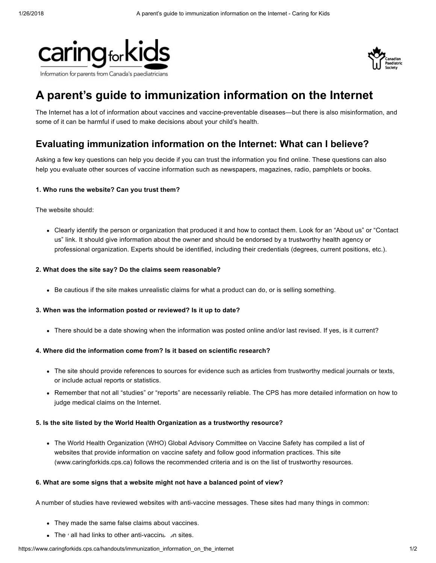



# A parent's guide to immunization information on the Internet

The Internet has a lot of information about vaccines and vaccine-preventable diseases—but there is also misinformation, and some of it can be harmful if used to make decisions about your child's health.

# Evaluating immunization information on the Internet: What can I believe?

Asking a few key questions can help you decide if you can trust the information you find online. These questions can also help you evaluate other sources of vaccine information such as newspapers, magazines, radio, pamphlets or books.

## 1. Who runs the website? Can you trust them?

The website should:

Clearly identify the person or organization that produced it and how to contact them. Look for an "About us" or "Contact us" link. It should give information about the owner and should be endorsed by a trustworthy health agency or professional organization. Experts should be identified, including their credentials (degrees, current positions, etc.).

#### 2. What does the site say? Do the claims seem reasonable?

Be cautious if the site makes unrealistic claims for what a product can do, or is selling something.

#### 3. When was the information posted or reviewed? Is it up to date?

There should be a date showing when the information was posted online and/or last revised. If yes, is it current?

#### 4. Where did the information come from? Is it based on scientific research?

- The site should provide references to sources for evidence such as articles from trustworthy medical journals or texts, or include actual reports or statistics.
- Remember that not all "studies" or "reports" are necessarily reliable. The CPS has more detailed [information](http://www.caringforkids.cps.ca/handouts/health_information_on_the_internet) on how to judge medical claims on the Internet.

#### 5. Is the site listed by the World Health Organization as a trustworthy resource?

The World Health [Organization](http://www.who.int/vaccine_safety/initiative/communication/network/vaccine_safety_websites/en/) (WHO) Global Advisory Committee on Vaccine Safety has compiled a list of websites that provide information on vaccine safety and follow good information practices. This site ([www.caringforkids.cps.ca\)](http://www.caringforkids.cps.ca/) follows the recommended criteria and is on the list of trustworthy resources.

#### 6. What are some signs that a website might not have a balanced point of view?

A number of studies have reviewed websites with anti-vaccine messages. These sites had many things in common:

- They made the same false claims about vaccines.
- The ' all had links to other anti-vaccination sites.